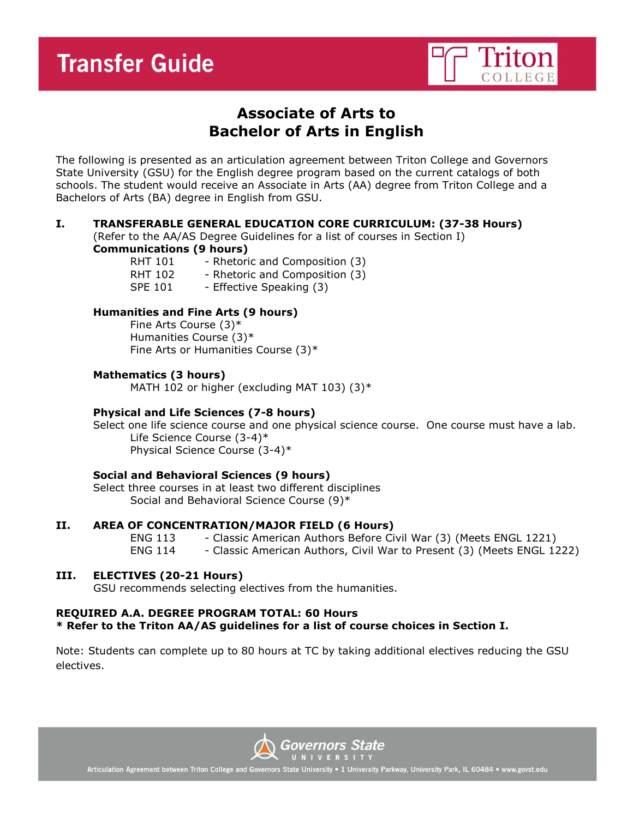

# **Associate of Arts to Bachelor of Arts in English**

The following is presented as an articulation agreement between Triton College and Governors State University (GSU) for the English degree program based on the current catalogs of both schools. The student would receive an Associate in Arts (AA) degree from Triton College and a Bachelors of Arts (BA) degree in English from GSU.

#### **I. TRANSFERABLE GENERAL EDUCATION CORE CURRICULUM: (37-38 Hours)**

(Refer to the AA/AS Degree Guidelines for a list of courses in Section I)

# **Communications (9 hours)**

RHT 101 - Rhetoric and Composition (3) RHT 102 - Rhetoric and Composition (3) SPE 101 - Effective Speaking (3)

# **Humanities and Fine Arts (9 hours)**

Fine Arts Course (3)\* Humanities Course (3)\* Fine Arts or Humanities Course (3)\*

# **Mathematics (3 hours)**

MATH 102 or higher (excluding MAT 103)  $(3)^*$ 

# **Physical and Life Sciences (7-8 hours)**

Select one life science course and one physical science course. One course must have a lab. Life Science Course (3-4)\* Physical Science Course (3-4)\*

#### **Social and Behavioral Sciences (9 hours)**

Select three courses in at least two different disciplines Social and Behavioral Science Course (9)\*

#### **II. AREA OF CONCENTRATION/MAJOR FIELD (6 Hours)**

ENG 113 - Classic American Authors Before Civil War (3) (Meets ENGL 1221) ENG 114 - Classic American Authors, Civil War to Present (3) (Meets ENGL 1222)

# **III. ELECTIVES (20-21 Hours)**

GSU recommends selecting electives from the humanities.

#### **REQUIRED A.A. DEGREE PROGRAM TOTAL: 60 Hours \* Refer to the Triton AA/AS guidelines for a list of course choices in Section I.**

Note: Students can complete up to 80 hours at TC by taking additional electives reducing the GSU electives.



Articulation Agreement between Triton College and Governors State University . 1 University Parkway, University Park, IL 60484 . www.govst.edu